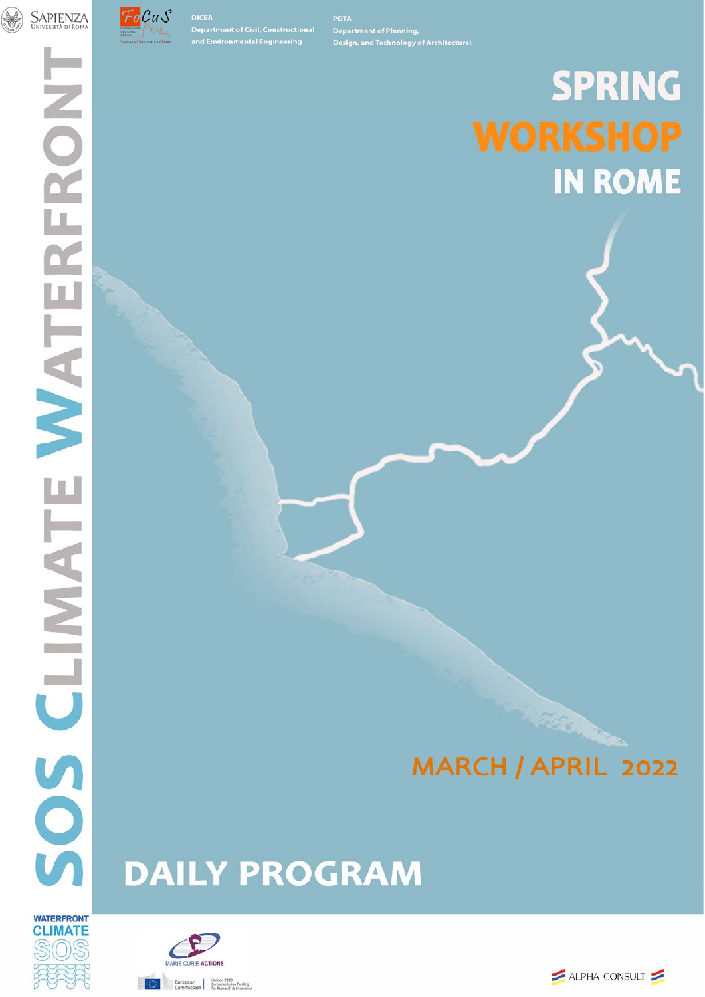



**DICEA** 

# **SPRING IN ROME**

## MARCH / APRIL 2022

# **DAILY PROGRAM**





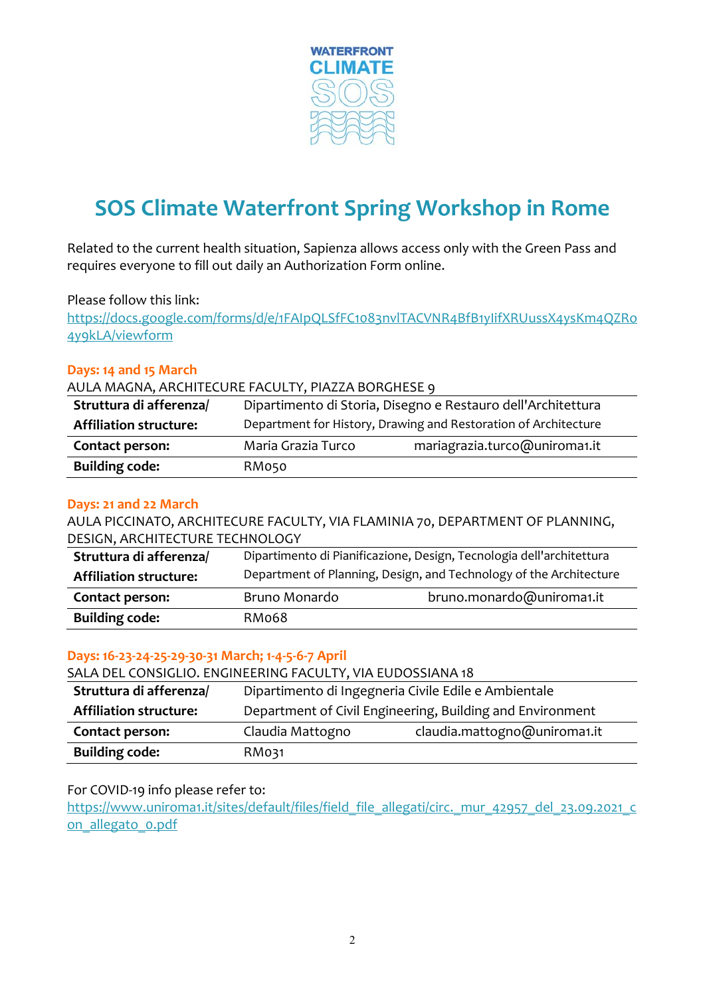

## **SOS Climate Waterfront Spring Workshop in Rome**

Related to the current health situation, Sapienza allows access only with the Green Pass and requires everyone to fill out daily an Authorization Form online.

#### Please follow this link:

https://docs.google.com/forms/d/e/1FAIpQLSfFC1083nvlTACVNR4BfB1yIifXRUussX4ysKm4QZRo 4y9kLA/viewform

#### **Days: 14 and 15 March**

#### AULA MAGNA, ARCHITECURE FACULTY, PIAZZA BORGHESE 9

| Struttura di afferenza/       | Dipartimento di Storia, Disegno e Restauro dell'Architettura    |                               |
|-------------------------------|-----------------------------------------------------------------|-------------------------------|
| <b>Affiliation structure:</b> | Department for History, Drawing and Restoration of Architecture |                               |
| Contact person:               | Maria Grazia Turco                                              | mariagrazia.turco@uniroma1.it |
| <b>Building code:</b>         | RM050                                                           |                               |

#### **Days: 21 and 22 March**

AULA PICCINATO, ARCHITECURE FACULTY, VIA FLAMINIA 70, DEPARTMENT OF PLANNING, DESIGN, ARCHITECTURE TECHNOLOGY

| Struttura di afferenza/       | Dipartimento di Pianificazione, Design, Tecnologia dell'architettura |                           |
|-------------------------------|----------------------------------------------------------------------|---------------------------|
| <b>Affiliation structure:</b> | Department of Planning, Design, and Technology of the Architecture   |                           |
| Contact person:               | Bruno Monardo                                                        | bruno.monardo@uniroma1.it |
| <b>Building code:</b>         | RM068                                                                |                           |

#### **Days: 16‐23‐24‐25‐29‐30‐31 March; 1‐4‐5‐6‐7 April**

SALA DEL CONSIGLIO. ENGINEERING FACULTY, VIA EUDOSSIANA 18

| Struttura di afferenza/       | Dipartimento di Ingegneria Civile Edile e Ambientale      |  |
|-------------------------------|-----------------------------------------------------------|--|
| <b>Affiliation structure:</b> | Department of Civil Engineering, Building and Environment |  |
| Contact person:               | claudia.mattogno@uniroma1.it<br>Claudia Mattogno          |  |
| <b>Building code:</b>         | RM031                                                     |  |

#### For COVID-19 info please refer to:

https://www.uniroma1.it/sites/default/files/field\_file\_allegati/circ.\_mur\_42957\_del\_23.09.2021\_c on\_allegato\_0.pdf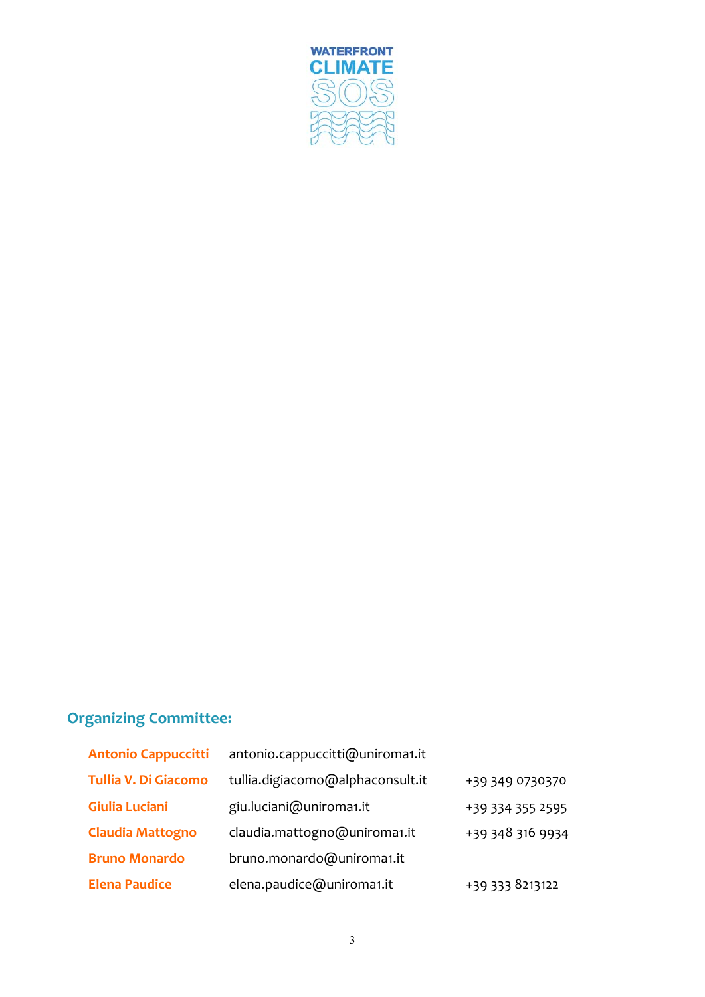

#### **Organizing Committee:**

| <b>Antonio Cappuccitti</b>  | antonio.cappuccitti@uniroma1.it  |                  |
|-----------------------------|----------------------------------|------------------|
| <b>Tullia V. Di Giacomo</b> | tullia.digiacomo@alphaconsult.it | +39 349 0730370  |
| <b>Giulia Luciani</b>       | giu.luciani@uniroma1.it          | +39 334 355 2595 |
| <b>Claudia Mattogno</b>     | claudia.mattogno@uniroma1.it     | +39 348 316 9934 |
| <b>Bruno Monardo</b>        | bruno.monardo@uniroma1.it        |                  |
| <b>Elena Paudice</b>        | elena.paudice@uniroma1.it        | +39 333 8213122  |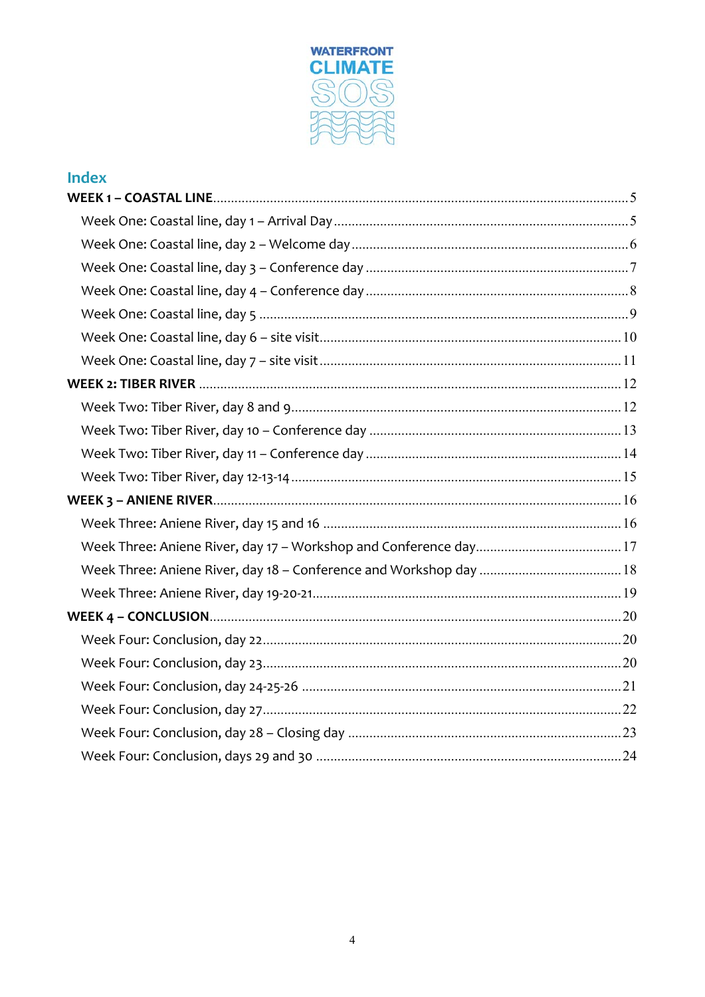

#### **Index**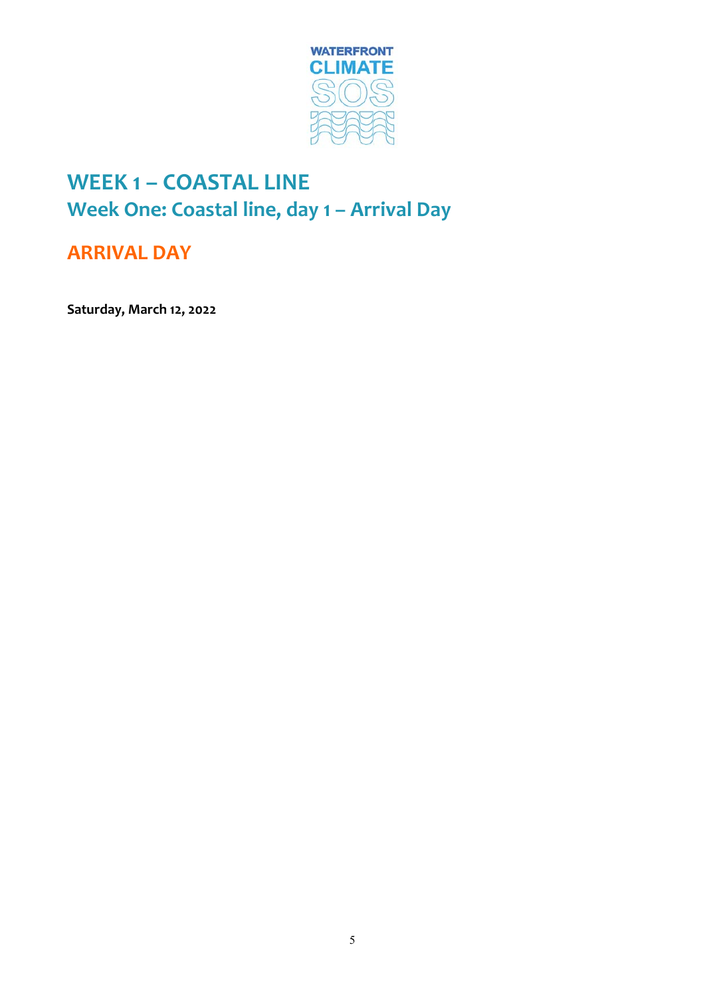

## **WEEK 1 – COASTAL LINE Week One: Coastal line, day 1 – Arrival Day**

#### **ARRIVAL DAY**

**Saturday, March 12, 2022**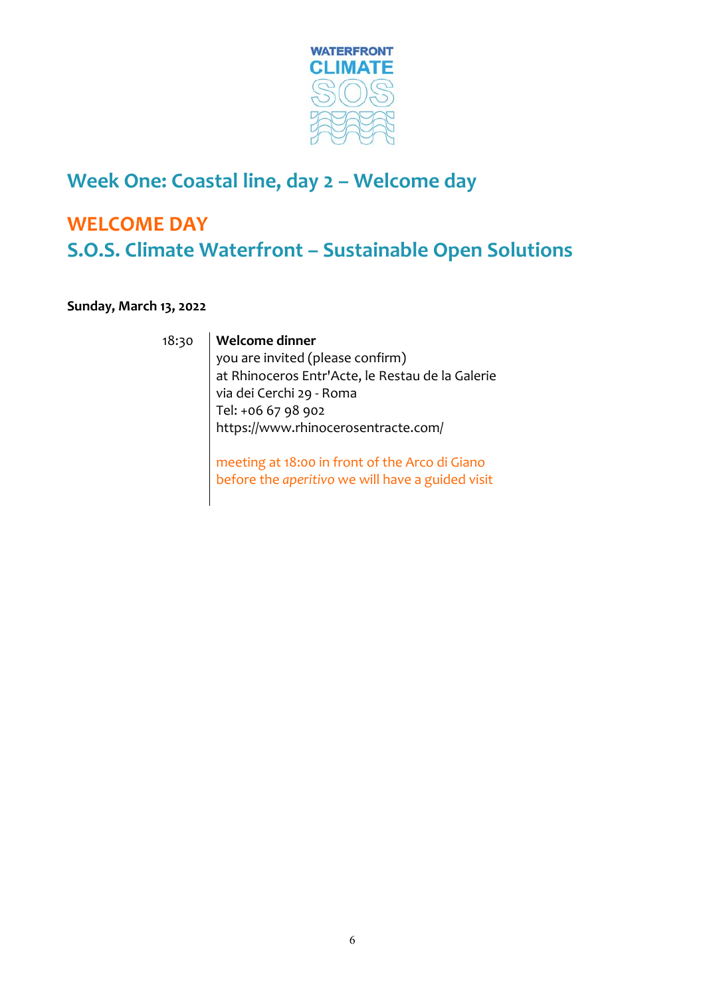

#### **Week One: Coastal line, day 2 – Welcome day**

## **WELCOME DAY S.O.S. Climate Waterfront – Sustainable Open Solutions**

#### **Sunday, March 13, 2022**

#### 18:30 **Welcome dinner**

you are invited (please confirm) at Rhinoceros Entr'Acte, le Restau de la Galerie via dei Cerchi 29 ‐ Roma Tel: +06 67 98 902 https://www.rhinocerosentracte.com/

meeting at 18:00 in front of the Arco di Giano before the *aperitivo* we will have a guided visit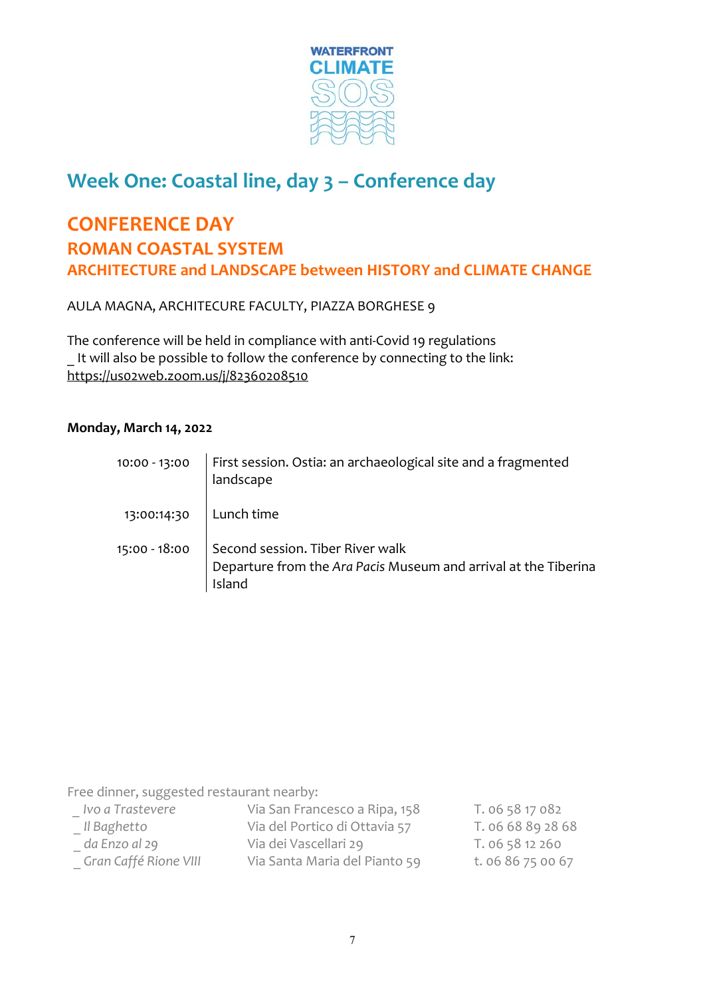

## **Week One: Coastal line, day 3 – Conference day**

#### **CONFERENCE DAY ROMAN COASTAL SYSTEM ARCHITECTURE and LANDSCAPE between HISTORY and CLIMATE CHANGE**

AULA MAGNA, ARCHITECURE FACULTY, PIAZZA BORGHESE 9

The conference will be held in compliance with anti‐Covid 19 regulations It will also be possible to follow the conference by connecting to the link: https://us02web.zoom.us/j/82360208510

#### **Monday, March 14, 2022**

| 10:00 - 13:00            | First session. Ostia: an archaeological site and a fragmented<br>landscape                                                    |
|--------------------------|-------------------------------------------------------------------------------------------------------------------------------|
| 13:00:14:30   Lunch time |                                                                                                                               |
|                          | 15:00 - 18:00   Second session. Tiber River walk<br>Departure from the Ara Pacis Museum and arrival at the Tiberina<br>Island |

Free dinner, suggested restaurant nearby:

| _ Ivo a Trastevere    | Via San Francesco a Ripa, 158 | T. 06 58 17 082   |
|-----------------------|-------------------------------|-------------------|
| Il Baghetto           | Via del Portico di Ottavia 57 | T. 06 68 89 28 68 |
| da Enzo al 29         | Via dei Vascellari 29         | T. 06 58 12 260   |
| Gran Caffé Rione VIII | Via Santa Maria del Pianto 59 | t. 06 86 75 00 67 |
|                       |                               |                   |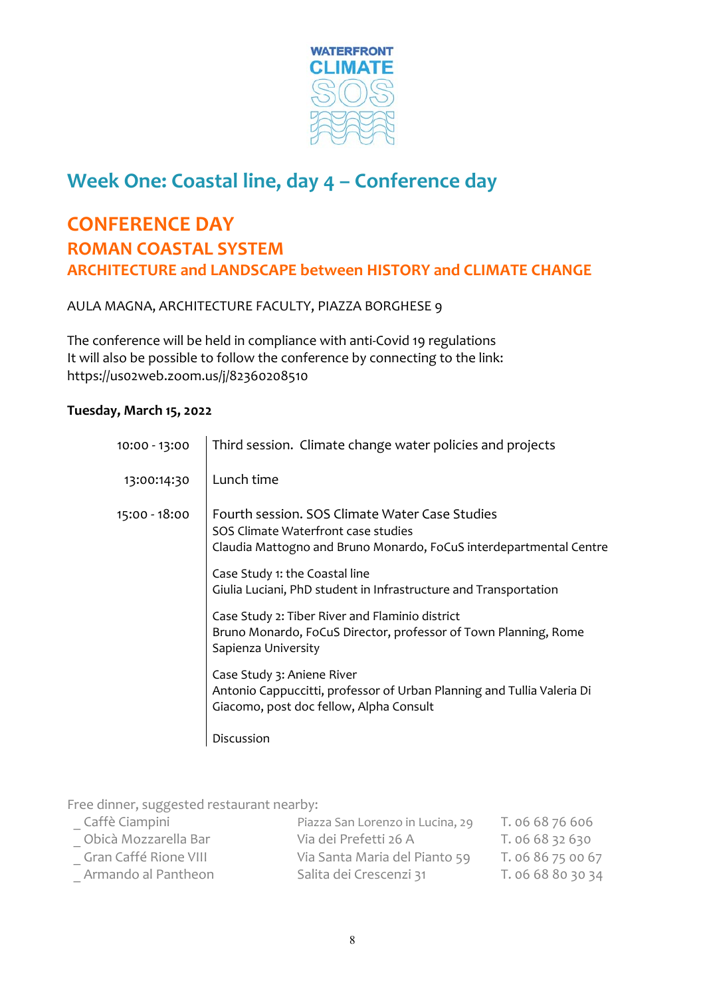

## **Week One: Coastal line, day 4 – Conference day**

#### **CONFERENCE DAY ROMAN COASTAL SYSTEM ARCHITECTURE and LANDSCAPE between HISTORY and CLIMATE CHANGE**

AULA MAGNA, ARCHITECTURE FACULTY, PIAZZA BORGHESE 9

The conference will be held in compliance with anti‐Covid 19 regulations It will also be possible to follow the conference by connecting to the link: https://us02web.zoom.us/j/82360208510

#### **Tuesday, March 15, 2022**

| 10:00 - 13:00 | Third session. Climate change water policies and projects                                                                                                   |
|---------------|-------------------------------------------------------------------------------------------------------------------------------------------------------------|
| 13:00:14:30   | Lunch time                                                                                                                                                  |
| 15:00 - 18:00 | Fourth session. SOS Climate Water Case Studies<br>SOS Climate Waterfront case studies<br>Claudia Mattogno and Bruno Monardo, FoCuS interdepartmental Centre |
|               | Case Study 1: the Coastal line<br>Giulia Luciani, PhD student in Infrastructure and Transportation                                                          |
|               | Case Study 2: Tiber River and Flaminio district<br>Bruno Monardo, FoCuS Director, professor of Town Planning, Rome<br>Sapienza University                   |
|               | Case Study 3: Aniene River<br>Antonio Cappuccitti, professor of Urban Planning and Tullia Valeria Di<br>Giacomo, post doc fellow, Alpha Consult             |
|               | Discussion                                                                                                                                                  |

Free dinner, suggested restaurant nearby:

| Caffè Ciampini        | Piazza San Lorenzo in Lucina, 29 | T. 06 68 76 606   |
|-----------------------|----------------------------------|-------------------|
| Obicà Mozzarella Bar  | Via dei Prefetti 26 A            | T. 06 68 32 630   |
| Gran Caffé Rione VIII | Via Santa Maria del Pianto 59    | T. 06 86 75 00 67 |
| Armando al Pantheon   | Salita dei Crescenzi 31          | T. 06 68 80 30 34 |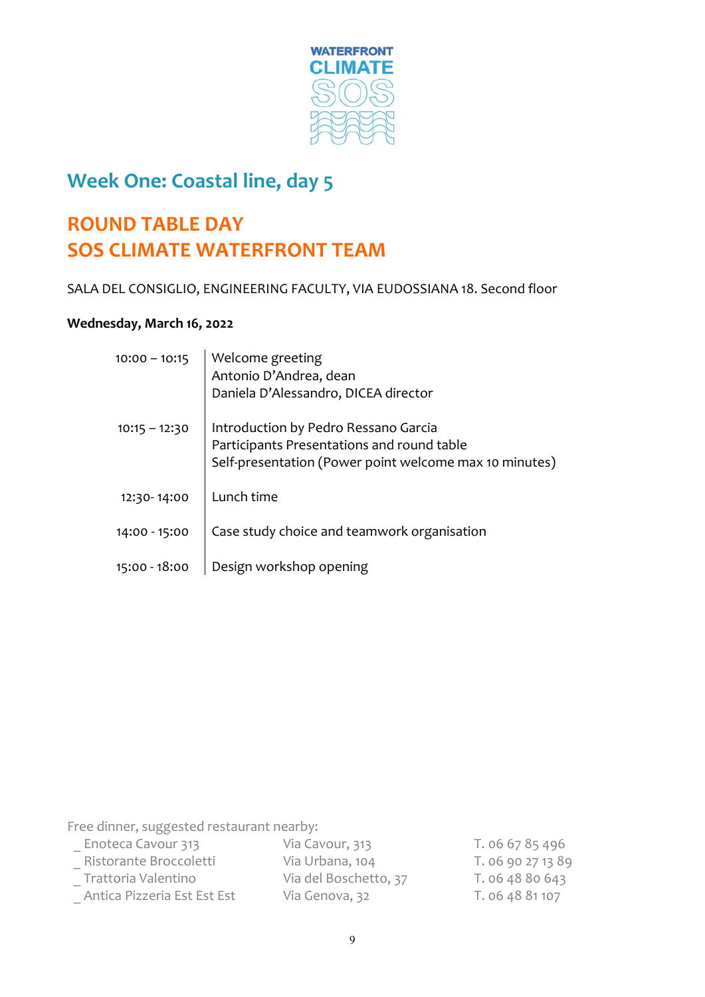

#### **Week One: Coastal line, day 5**

## **ROUND TABLE DAY SOS CLIMATE WATERFRONT TEAM**

SALA DEL CONSIGLIO, ENGINEERING FACULTY, VIA EUDOSSIANA 18. Second floor

#### **Wednesday, March 16, 2022**

| $10:00 - 10:15$ | Welcome greeting<br>Antonio D'Andrea, dean<br>Daniela D'Alessandro, DICEA director                                                           |
|-----------------|----------------------------------------------------------------------------------------------------------------------------------------------|
| $10:15 - 12:30$ | Introduction by Pedro Ressano Garcia<br>Participants Presentations and round table<br>Self-presentation (Power point welcome max 10 minutes) |
| 12:30-14:00     | Lunch time                                                                                                                                   |
| 14:00 - 15:00   | Case study choice and teamwork organisation                                                                                                  |
| 15:00 - 18:00   | Design workshop opening                                                                                                                      |

Free dinner, suggested restaurant nearby:

| Enoteca Cavour 313          | Via Cavour, 313       | T. 06 67 85 496   |
|-----------------------------|-----------------------|-------------------|
| Ristorante Broccoletti      | Via Urbana, 104       | T. 06 90 27 13 89 |
| Trattoria Valentino         | Via del Boschetto, 37 | T. 06 48 80 643   |
| Antica Pizzeria Est Est Est | Via Genova, 32        | T. 06 48 81 107   |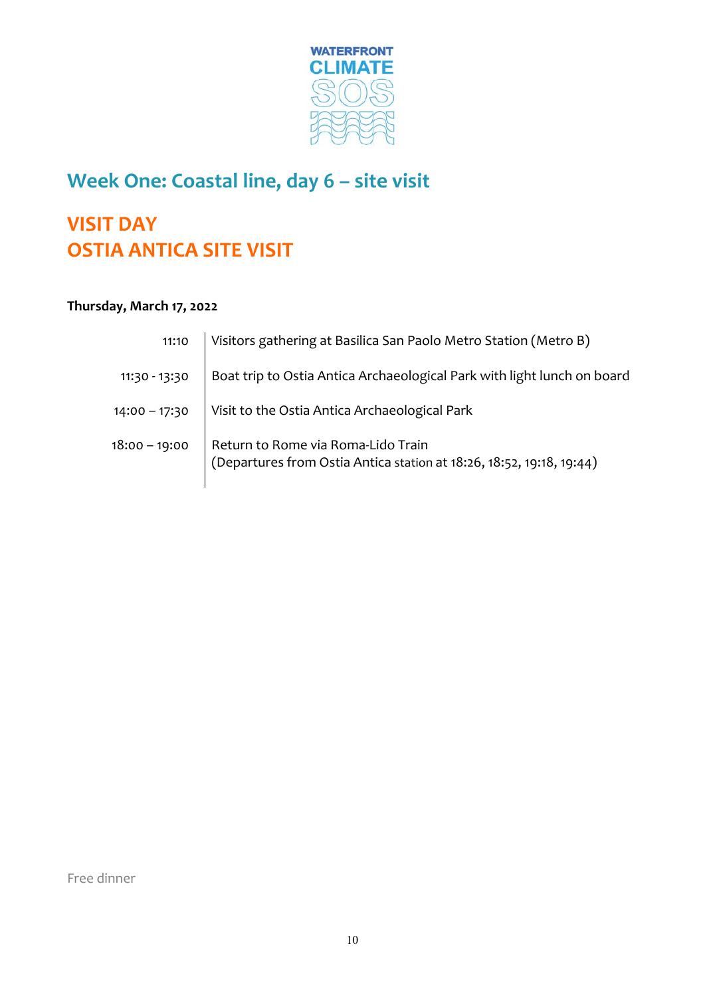

## **Week One: Coastal line, day 6 – site visit**

## **VISIT DAY OSTIA ANTICA SITE VISIT**

#### **Thursday, March 17, 2022**

| 11:10           | Visitors gathering at Basilica San Paolo Metro Station (Metro B)                                           |
|-----------------|------------------------------------------------------------------------------------------------------------|
| 11:30 - 13:30   | Boat trip to Ostia Antica Archaeological Park with light lunch on board                                    |
| $14:00 - 17:30$ | Visit to the Ostia Antica Archaeological Park                                                              |
| $18:00 - 19:00$ | Return to Rome via Roma-Lido Train<br>(Departures from Ostia Antica station at 18:26, 18:52, 19:18, 19:44) |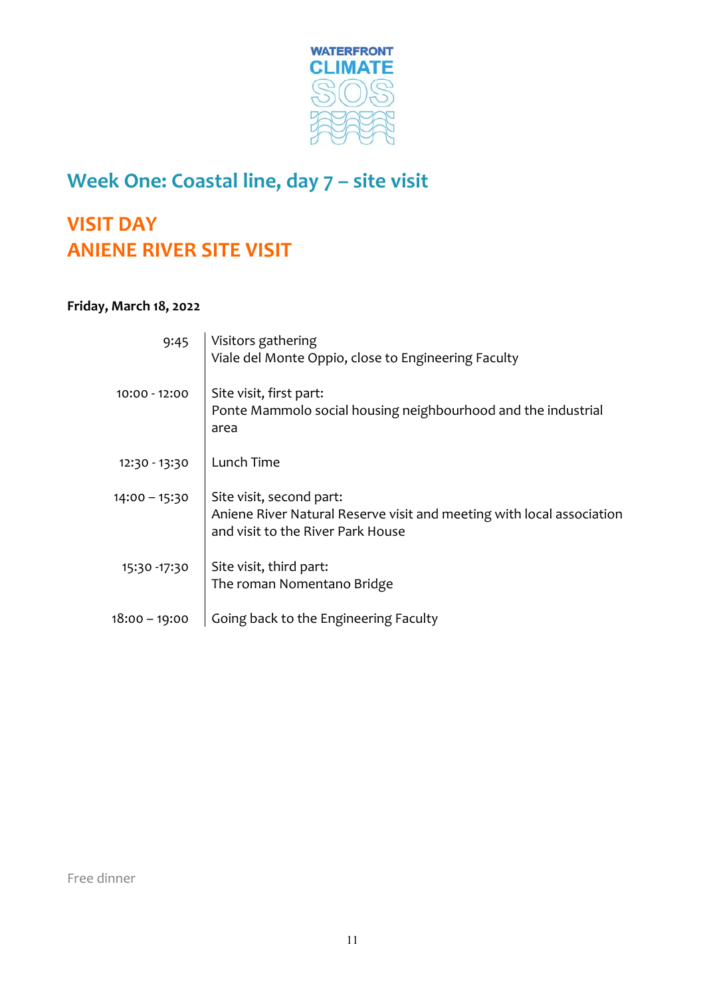

## **Week One: Coastal line, day 7 – site visit**

## **VISIT DAY ANIENE RIVER SITE VISIT**

#### **Friday, March 18, 2022**

| 9:45            | Visitors gathering<br>Viale del Monte Oppio, close to Engineering Faculty                                                              |
|-----------------|----------------------------------------------------------------------------------------------------------------------------------------|
| $10:00 - 12:00$ | Site visit, first part:<br>Ponte Mammolo social housing neighbourhood and the industrial<br>area                                       |
| 12:30 - 13:30   | Lunch Time                                                                                                                             |
| $14:00 - 15:30$ | Site visit, second part:<br>Aniene River Natural Reserve visit and meeting with local association<br>and visit to the River Park House |
| 15:30 - 17:30   | Site visit, third part:<br>The roman Nomentano Bridge                                                                                  |
| 18:00 - 19:00   | Going back to the Engineering Faculty                                                                                                  |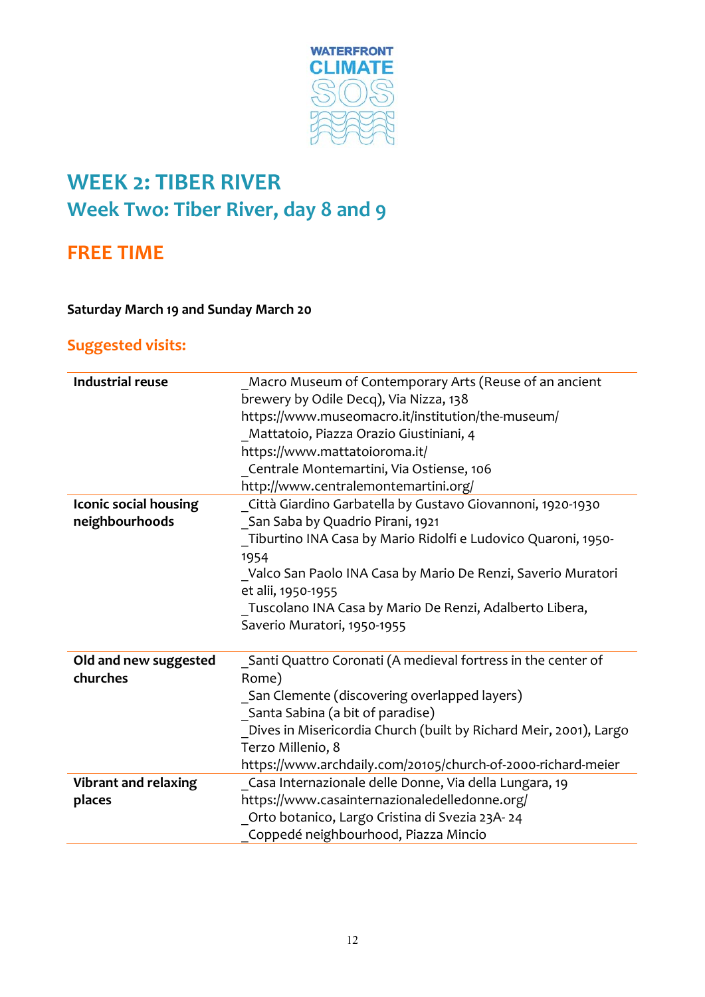

## **WEEK 2: TIBER RIVER Week Two: Tiber River, day 8 and 9**

#### **FREE TIME**

#### **Saturday March 19 and Sunday March 20**

#### **Suggested visits:**

| <b>Industrial reuse</b>      | Macro Museum of Contemporary Arts (Reuse of an ancient            |
|------------------------------|-------------------------------------------------------------------|
|                              | brewery by Odile Decq), Via Nizza, 138                            |
|                              | https://www.museomacro.it/institution/the-museum/                 |
|                              | Mattatoio, Piazza Orazio Giustiniani, 4                           |
|                              | https://www.mattatoioroma.it/                                     |
|                              | Centrale Montemartini, Via Ostiense, 106                          |
|                              | http://www.centralemontemartini.org/                              |
| <b>Iconic social housing</b> | Città Giardino Garbatella by Gustavo Giovannoni, 1920-1930        |
| neighbourhoods               | San Saba by Quadrio Pirani, 1921                                  |
|                              | Tiburtino INA Casa by Mario Ridolfi e Ludovico Quaroni, 1950-     |
|                              | 1954                                                              |
|                              | Valco San Paolo INA Casa by Mario De Renzi, Saverio Muratori      |
|                              | et alii, 1950-1955                                                |
|                              | Tuscolano INA Casa by Mario De Renzi, Adalberto Libera,           |
|                              | Saverio Muratori, 1950-1955                                       |
|                              |                                                                   |
| Old and new suggested        | Santi Quattro Coronati (A medieval fortress in the center of      |
| churches                     | Rome)                                                             |
|                              | San Clemente (discovering overlapped layers)                      |
|                              | Santa Sabina (a bit of paradise)                                  |
|                              | Dives in Misericordia Church (built by Richard Meir, 2001), Largo |
|                              | Terzo Millenio, 8                                                 |
|                              | https://www.archdaily.com/20105/church-of-2000-richard-meier      |
| <b>Vibrant and relaxing</b>  | Casa Internazionale delle Donne, Via della Lungara, 19            |
| places                       | https://www.casainternazionaledelledonne.org/                     |
|                              | Orto botanico, Largo Cristina di Svezia 23A-24                    |
|                              | Coppedé neighbourhood, Piazza Mincio                              |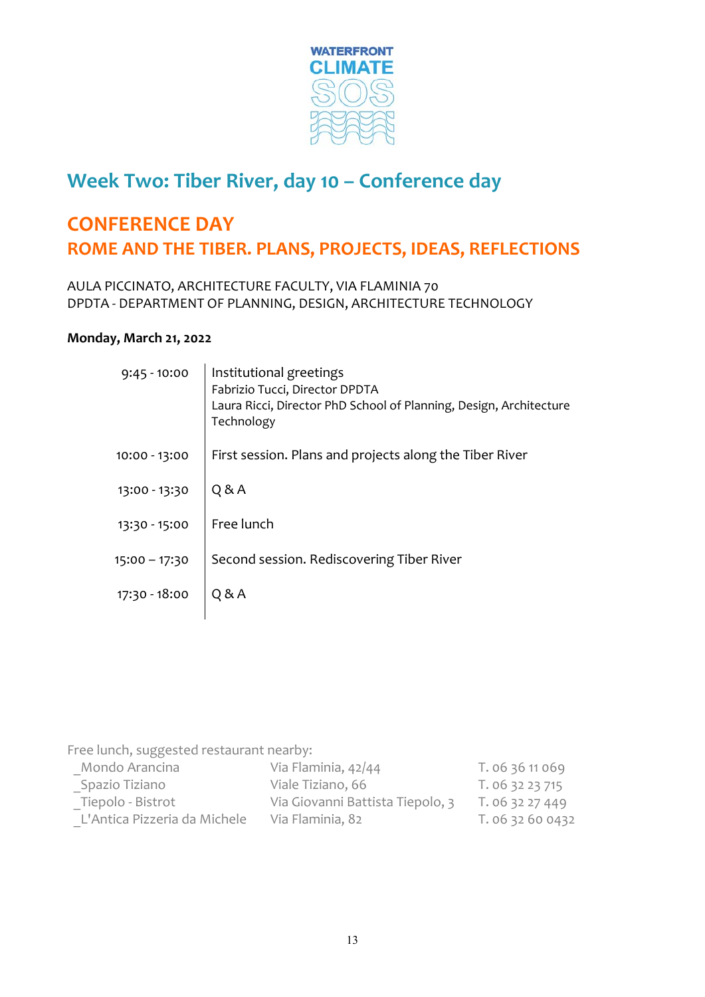

#### **Week Two: Tiber River, day 10 – Conference day**

#### **CONFERENCE DAY ROME AND THE TIBER. PLANS, PROJECTS, IDEAS, REFLECTIONS**

AULA PICCINATO, ARCHITECTURE FACULTY, VIA FLAMINIA 70 DPDTA ‐ DEPARTMENT OF PLANNING, DESIGN, ARCHITECTURE TECHNOLOGY

#### **Monday, March 21, 2022**

| $9:45 - 10:00$ | Institutional greetings<br>Fabrizio Tucci, Director DPDTA<br>Laura Ricci, Director PhD School of Planning, Design, Architecture<br>Technology |
|----------------|-----------------------------------------------------------------------------------------------------------------------------------------------|
| 10:00 - 13:00  | First session. Plans and projects along the Tiber River                                                                                       |
| 13:00 - 13:30  | Q & A                                                                                                                                         |
| 13:30 - 15:00  | Free lunch                                                                                                                                    |
| 15:00 - 17:30  | Second session. Rediscovering Tiber River                                                                                                     |
| 17:30 - 18:00  | Q & A                                                                                                                                         |
|                |                                                                                                                                               |

Free lunch, suggested restaurant nearby:

| Mondo Arancina               | Via Flaminia, 42/44              | T. 06 36 11 069  |
|------------------------------|----------------------------------|------------------|
| Spazio Tiziano               | Viale Tiziano, 66                | T. 06 32 23 715  |
| Tiepolo - Bistrot            | Via Giovanni Battista Tiepolo, 3 | T. 06 32 27 449  |
| L'Antica Pizzeria da Michele | Via Flaminia, 82                 | T. 06 32 60 0432 |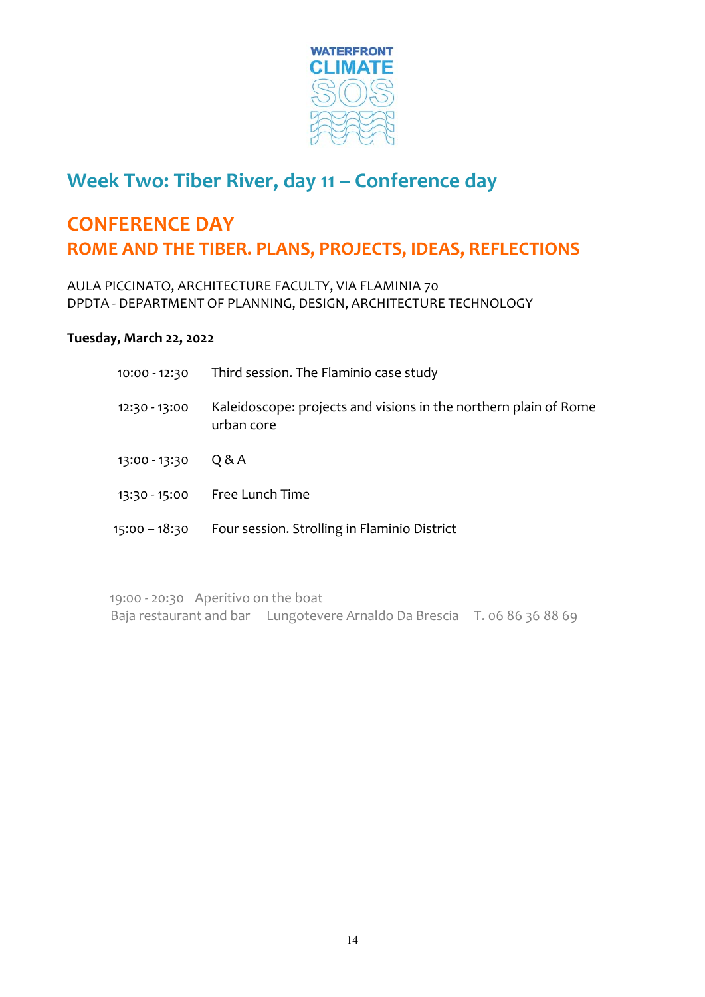

#### **Week Two: Tiber River, day 11 – Conference day**

#### **CONFERENCE DAY ROME AND THE TIBER. PLANS, PROJECTS, IDEAS, REFLECTIONS**

AULA PICCINATO, ARCHITECTURE FACULTY, VIA FLAMINIA 70 DPDTA ‐ DEPARTMENT OF PLANNING, DESIGN, ARCHITECTURE TECHNOLOGY

#### **Tuesday, March 22, 2022**

|                       | 10:00 - 12:30   Third session. The Flaminio case study                                         |
|-----------------------|------------------------------------------------------------------------------------------------|
|                       | 12:30 - 13:00   Kaleidoscope: projects and visions in the northern plain of Rome<br>urban core |
| 13:00 - 13:30 $Q & A$ |                                                                                                |
|                       | 13:30 - 15:00 $\Big $ Free Lunch Time                                                          |
|                       | 15:00 - 18:30   Four session. Strolling in Flaminio District                                   |

19:00 ‐ 20:30 Aperitivo on the boat Baja restaurant and bar Lungotevere Arnaldo Da Brescia T. 06 86 36 88 69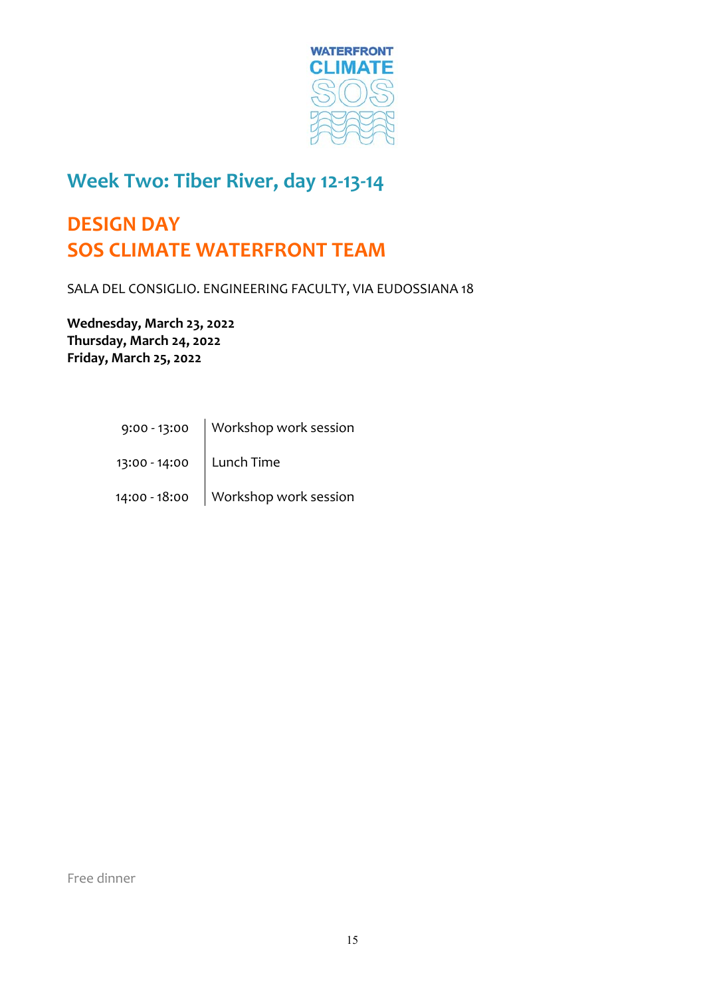

#### **Week Two: Tiber River, day 12‐13‐14**

## **DESIGN DAY SOS CLIMATE WATERFRONT TEAM**

SALA DEL CONSIGLIO. ENGINEERING FACULTY, VIA EUDOSSIANA 18

**Wednesday, March 23, 2022 Thursday, March 24, 2022 Friday, March 25, 2022**

> 9:00 ‐ 13:00 Workshop work session  $\mathcal{L}^{\text{max}}_{\text{max}}$ 13:00 - 14:00 | Lunch Time  $\mathcal{L}^{\text{max}}_{\text{max}}$ 14:00 - 18:00 Workshop work session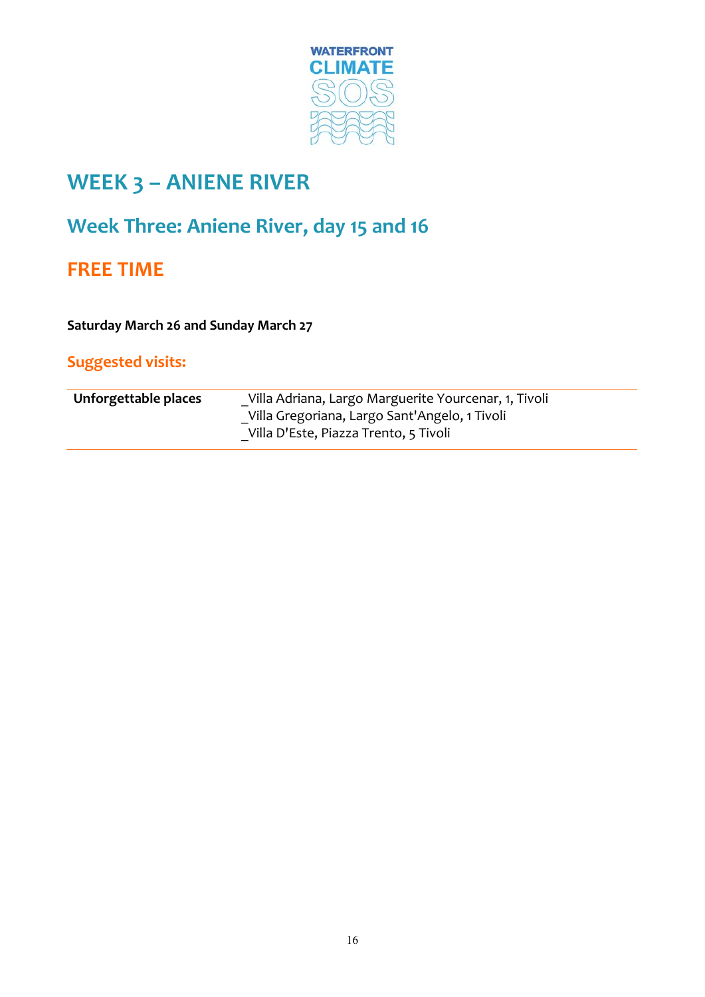

## **WEEK 3 – ANIENE RIVER**

## **Week Three: Aniene River, day 15 and 16**

#### **FREE TIME**

**Saturday March 26 and Sunday March 27**

#### **Suggested visits:**

| Unforgettable places | Villa Adriana, Largo Marguerite Yourcenar, 1, Tivoli                                   |
|----------------------|----------------------------------------------------------------------------------------|
|                      | Villa Gregoriana, Largo Sant'Angelo, 1 Tivoli<br>Villa D'Este, Piazza Trento, 5 Tivoli |
|                      |                                                                                        |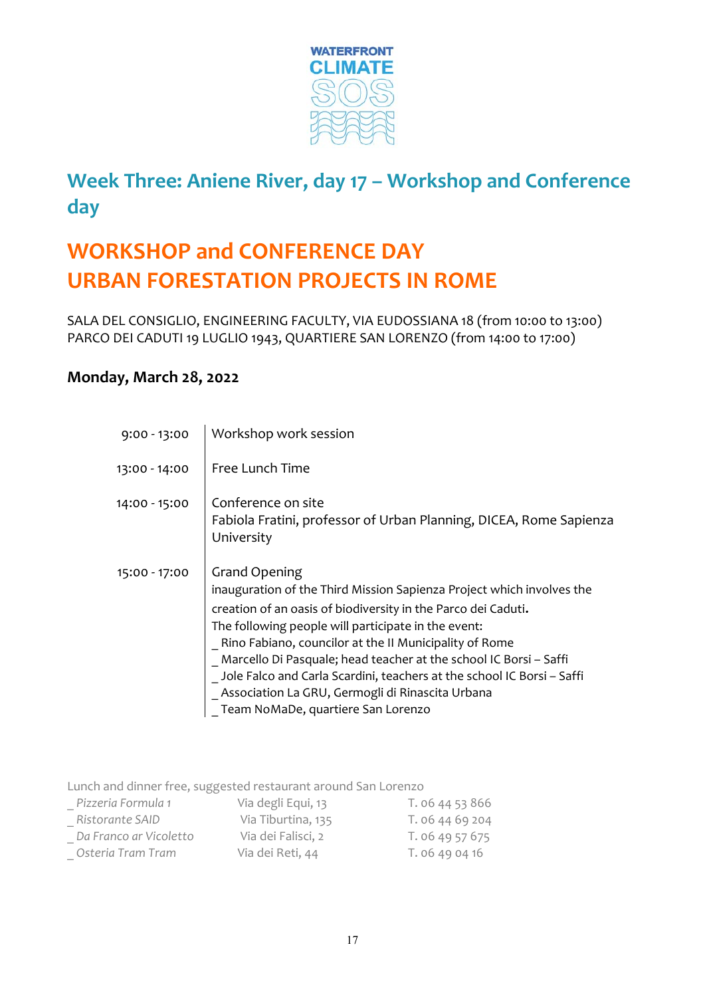

## **Week Three: Aniene River, day 17 – Workshop and Conference day**

## **WORKSHOP and CONFERENCE DAY URBAN FORESTATION PROJECTS IN ROME**

SALA DEL CONSIGLIO, ENGINEERING FACULTY, VIA EUDOSSIANA 18 (from 10:00 to 13:00) PARCO DEI CADUTI 19 LUGLIO 1943, QUARTIERE SAN LORENZO (from 14:00 to 17:00)

#### **Monday, March 28, 2022**

| $9:00 - 13:00$ | Workshop work session                                                                                                                                                                                                                                                                                                                                                                                                                                                                                                    |
|----------------|--------------------------------------------------------------------------------------------------------------------------------------------------------------------------------------------------------------------------------------------------------------------------------------------------------------------------------------------------------------------------------------------------------------------------------------------------------------------------------------------------------------------------|
| 13:00 - 14:00  | Free Lunch Time                                                                                                                                                                                                                                                                                                                                                                                                                                                                                                          |
| 14:00 - 15:00  | Conference on site<br>Fabiola Fratini, professor of Urban Planning, DICEA, Rome Sapienza<br>University                                                                                                                                                                                                                                                                                                                                                                                                                   |
| 15:00 - 17:00  | <b>Grand Opening</b><br>inauguration of the Third Mission Sapienza Project which involves the<br>creation of an oasis of biodiversity in the Parco dei Caduti.<br>The following people will participate in the event:<br>Rino Fabiano, councilor at the II Municipality of Rome<br>Marcello Di Pasquale; head teacher at the school IC Borsi - Saffi<br>Jole Falco and Carla Scardini, teachers at the school IC Borsi - Saffi<br>Association La GRU, Germogli di Rinascita Urbana<br>Team NoMaDe, quartiere San Lorenzo |

Lunch and dinner free, suggested restaurant around San Lorenzo

| Pizzeria Formula 1     | Via degli Equi, 13 | T. 06 44 53 866 |
|------------------------|--------------------|-----------------|
| Ristorante SAID        | Via Tiburtina, 135 | T. 06 44 69 204 |
| Da Franco ar Vicoletto | Via dei Falisci, 2 | T. 06 49 57 675 |
| Osteria Tram Tram      | Via dei Reti, 44   | T. 06 49 04 16  |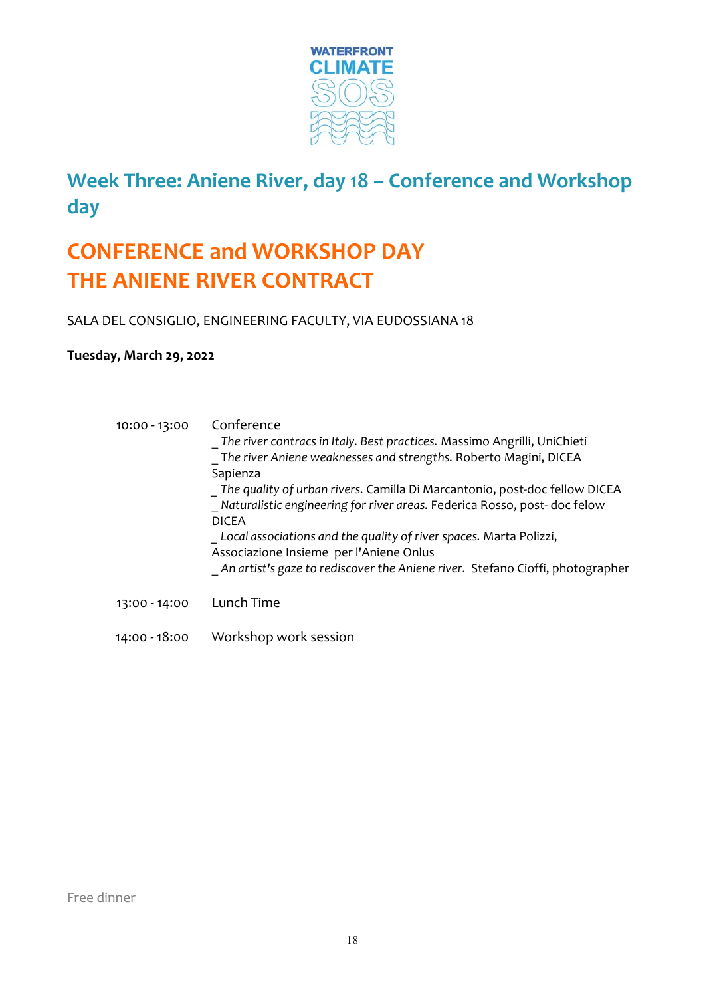

## **Week Three: Aniene River, day 18 – Conference and Workshop day**

## **CONFERENCE and WORKSHOP DAY THE ANIENE RIVER CONTRACT**

SALA DEL CONSIGLIO, ENGINEERING FACULTY, VIA EUDOSSIANA 18

#### **Tuesday, March 29, 2022**

| 10:00 - 13:00 | Conference                                                                      |
|---------------|---------------------------------------------------------------------------------|
|               | The river contracs in Italy. Best practices. Massimo Angrilli, UniChieti        |
|               | The river Aniene weaknesses and strengths. Roberto Magini, DICEA                |
|               | Sapienza                                                                        |
|               | $\,$ The quality of urban rivers. Camilla Di Marcantonio, post-doc fellow DICEA |
|               | Naturalistic engineering for river areas. Federica Rosso, post-doc felow        |
|               | <b>DICEA</b>                                                                    |
|               | Local associations and the quality of river spaces. Marta Polizzi,              |
|               | Associazione Insieme per l'Aniene Onlus                                         |
|               | _An artist's gaze to rediscover the Aniene river. Stefano Cioffi, photographer  |
| 13:00 - 14:00 | Lunch Time                                                                      |
|               |                                                                                 |
| 14:00 - 18:00 | Workshop work session                                                           |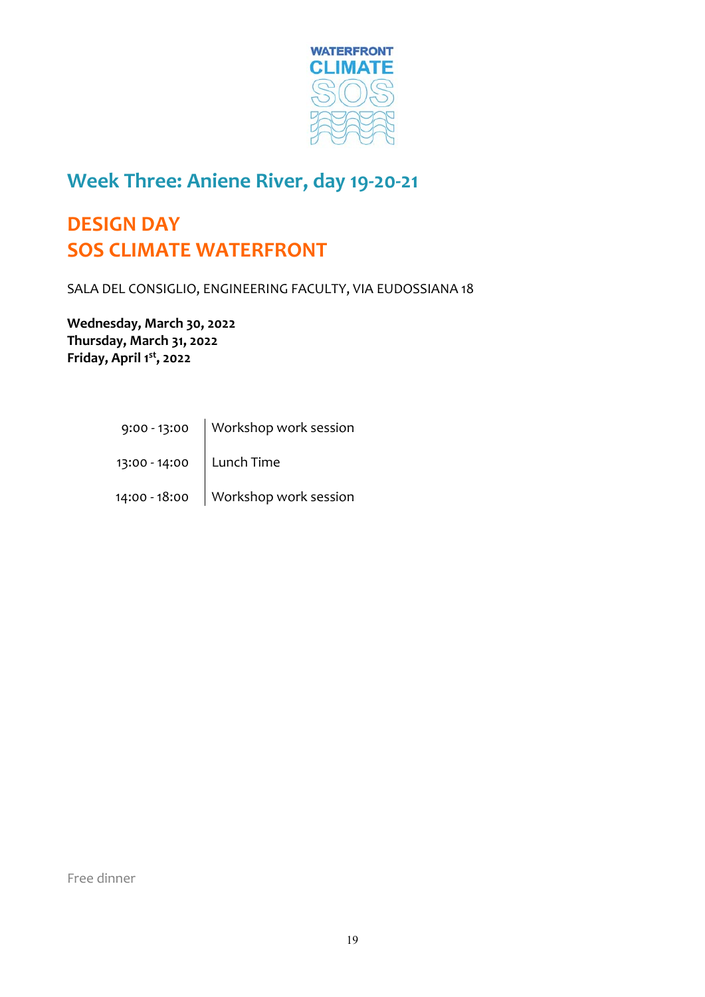

#### **Week Three: Aniene River, day 19‐20‐21**

## **DESIGN DAY SOS CLIMATE WATERFRONT**

SALA DEL CONSIGLIO, ENGINEERING FACULTY, VIA EUDOSSIANA 18

**Wednesday, March 30, 2022 Thursday, March 31, 2022 Friday, April 1st, 2022**

> 9:00 ‐ 13:00 Workshop work session  $\mathcal{L}^{\text{max}}_{\text{max}}$ 13:00 - 14:00 | Lunch Time  $\mathcal{L}^{\text{max}}_{\text{max}}$ 14:00 - 18:00 Workshop work session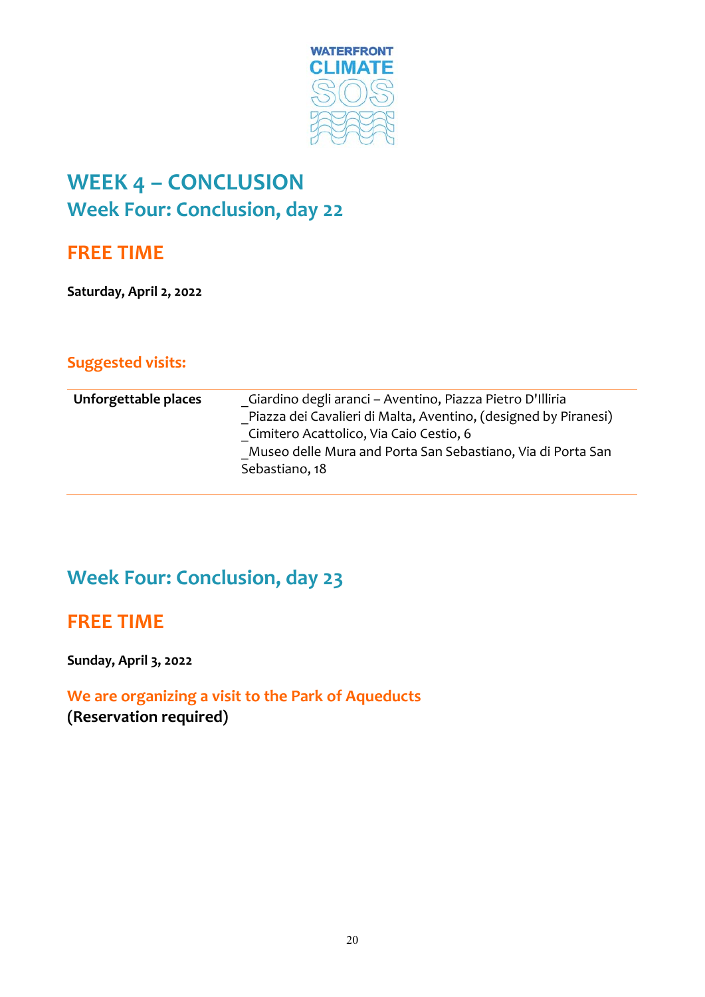

## **WEEK 4 – CONCLUSION Week Four: Conclusion, day 22**

#### **FREE TIME**

**Saturday, April 2, 2022** 

#### **Suggested visits:**

| Unforgettable places | Giardino degli aranci – Aventino, Piazza Pietro D'Illiria       |
|----------------------|-----------------------------------------------------------------|
|                      | Piazza dei Cavalieri di Malta, Aventino, (designed by Piranesi) |
|                      | Cimitero Acattolico, Via Caio Cestio, 6                         |
|                      | Museo delle Mura and Porta San Sebastiano, Via di Porta San     |
|                      | Sebastiano, 18                                                  |
|                      |                                                                 |

### **Week Four: Conclusion, day 23**

#### **FREE TIME**

**Sunday, April 3, 2022** 

#### **We are organizing a visit to the Park of Aqueducts (Reservation required)**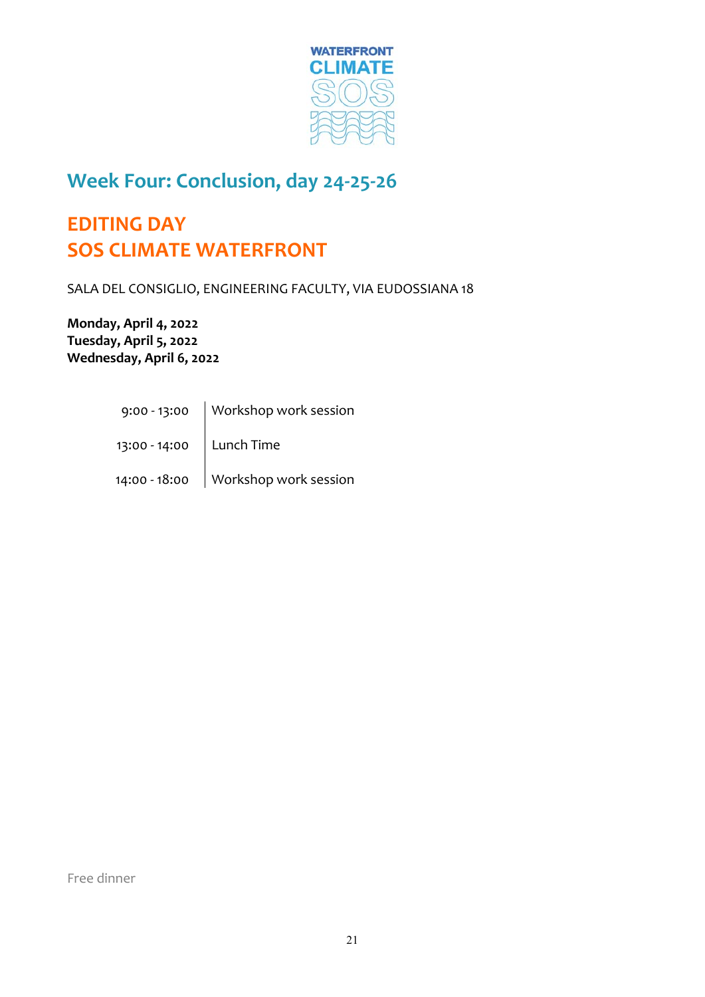

#### **Week Four: Conclusion, day 24‐25‐26**

## **EDITING DAY SOS CLIMATE WATERFRONT**

SALA DEL CONSIGLIO, ENGINEERING FACULTY, VIA EUDOSSIANA 18

**Monday, April 4, 2022 Tuesday, April 5, 2022 Wednesday, April 6, 2022** 

> 9:00 ‐ 13:00 Workshop work session  $\mathcal{L}^{\text{max}}_{\text{max}}$ 13:00 - 14:00 | Lunch Time  $\mathcal{L}^{\text{max}}_{\text{max}}$ 14:00 - 18:00 Workshop work session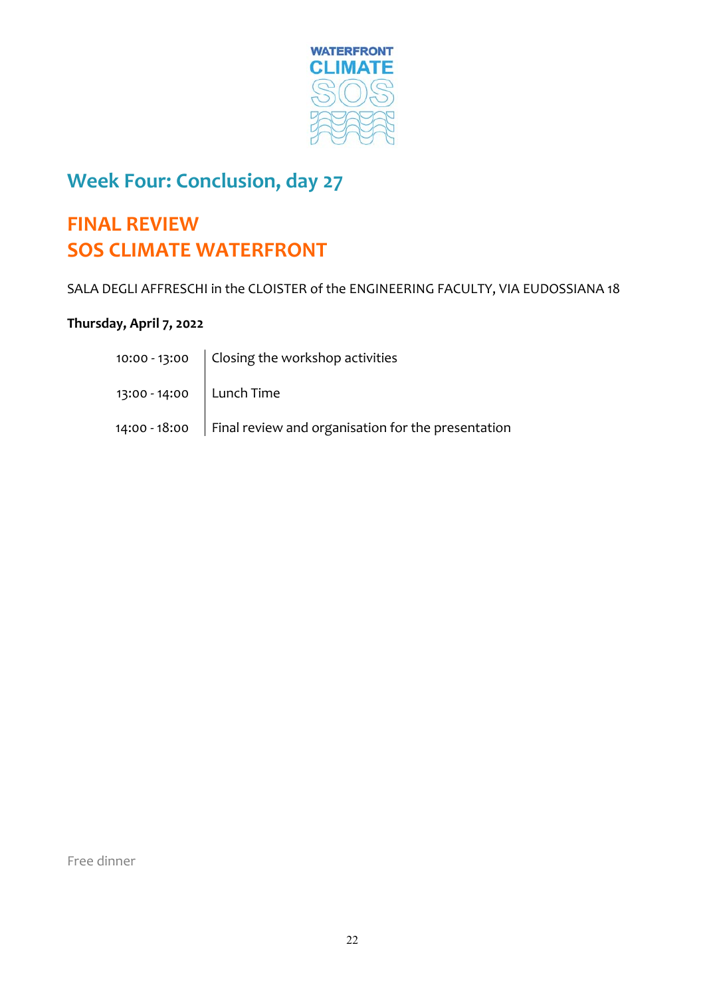

## **Week Four: Conclusion, day 27**

## **FINAL REVIEW SOS CLIMATE WATERFRONT**

SALA DEGLI AFFRESCHI in the CLOISTER of the ENGINEERING FACULTY, VIA EUDOSSIANA 18

#### **Thursday, April 7, 2022**

|                            | 10:00 - 13:00 $\int$ Closing the workshop activities               |
|----------------------------|--------------------------------------------------------------------|
| 13:00 - 14:00   Lunch Time |                                                                    |
|                            | 14:00 - 18:00   Final review and organisation for the presentation |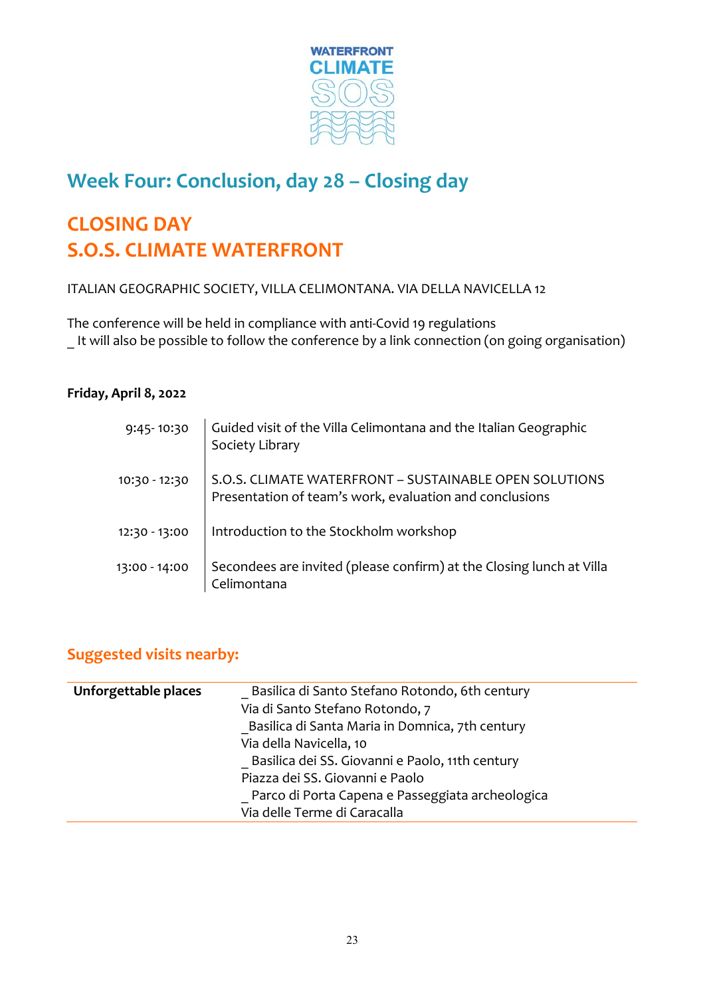

## **Week Four: Conclusion, day 28 – Closing day**

## **CLOSING DAY S.O.S. CLIMATE WATERFRONT**

ITALIAN GEOGRAPHIC SOCIETY, VILLA CELIMONTANA. VIA DELLA NAVICELLA 12

The conference will be held in compliance with anti‐Covid 19 regulations It will also be possible to follow the conference by a link connection (on going organisation)

#### **Friday, April 8, 2022**

| 9:45-10:30    | Guided visit of the Villa Celimontana and the Italian Geographic<br>Society Library                               |
|---------------|-------------------------------------------------------------------------------------------------------------------|
| 10:30 - 12:30 | S.O.S. CLIMATE WATERFRONT - SUSTAINABLE OPEN SOLUTIONS<br>Presentation of team's work, evaluation and conclusions |
| 12:30 - 13:00 | Introduction to the Stockholm workshop                                                                            |
| 13:00 - 14:00 | Secondees are invited (please confirm) at the Closing lunch at Villa<br>Celimontana                               |

#### **Suggested visits nearby:**

| Unforgettable places | Basilica di Santo Stefano Rotondo, 6th century<br>Via di Santo Stefano Rotondo, 7 |
|----------------------|-----------------------------------------------------------------------------------|
|                      | Basilica di Santa Maria in Domnica, 7th century                                   |
|                      | Via della Navicella, 10                                                           |
|                      | Basilica dei SS. Giovanni e Paolo, 11th century                                   |
|                      | Piazza dei SS. Giovanni e Paolo                                                   |
|                      | Parco di Porta Capena e Passeggiata archeologica                                  |
|                      | Via delle Terme di Caracalla                                                      |